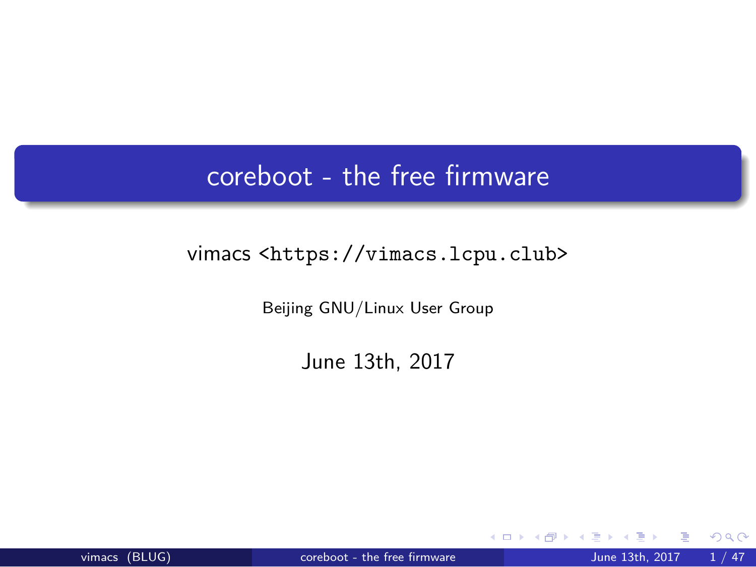coreboot - the free firmware

vimacs <https://vimacs.lcpu.club>

Beijing GNU/Linux User Group

June 13th, 2017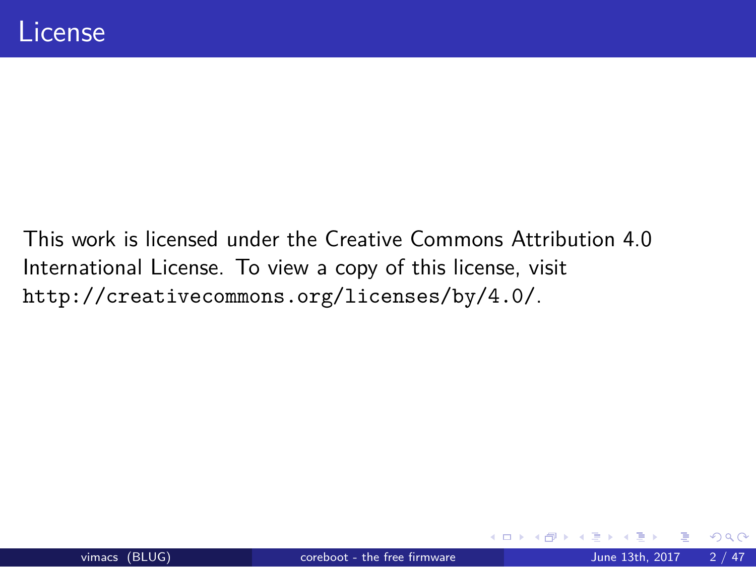## License

This work is licensed under the Creative Commons Attribution 4.0 International License. To view a copy of this license, visit http://creativecommons.org/licenses/by/4.0/.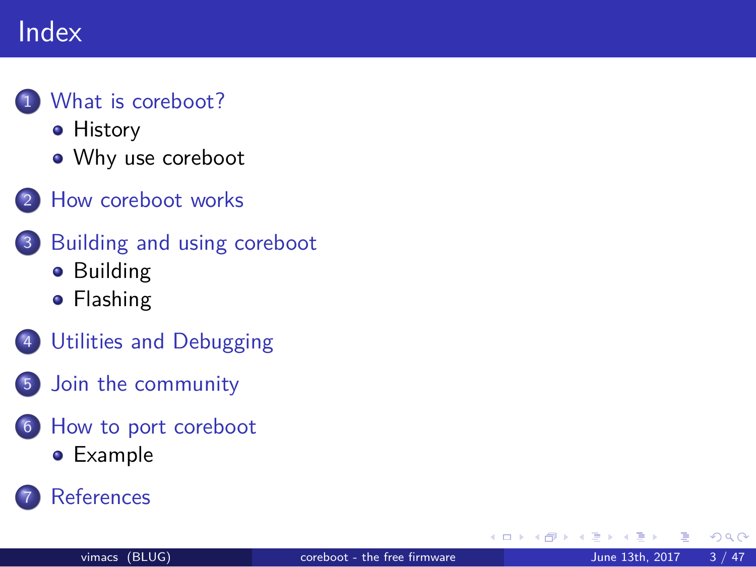#### Index

#### 1 What is coreboot?

**•** History

- Why use coreboot
- 2 How coreboot works
- 3 Building and using coreboot
	- **•** Building
	- **•** Flashing
- 4 Utilities and Debugging
- 5 Join the community
- 6 How to port coreboot
	- Example
- 7 References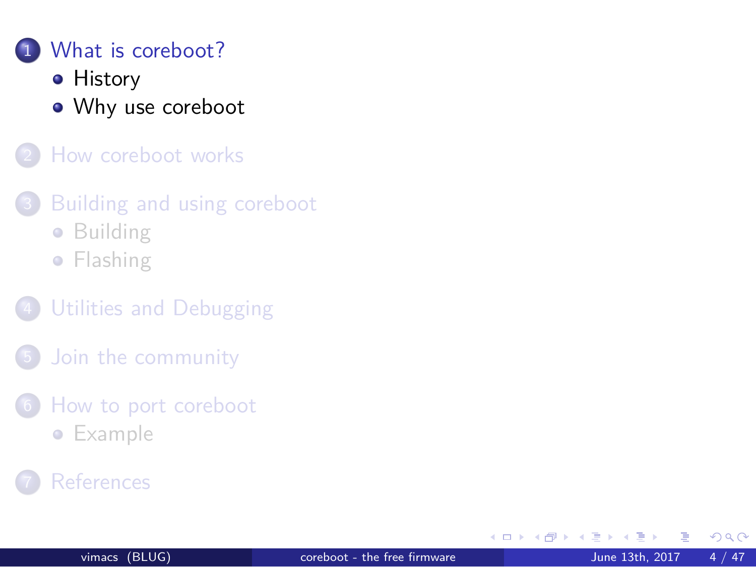### 1 What is coreboot?

#### **•** History

Why use coreboot

2 How coreboot works

3 Building and using coreboot

**•** Building

**•** Flashing

4 Utilities and Debugging

5 Join the community

6 How to port coreboot

- **•** Example
- 7 References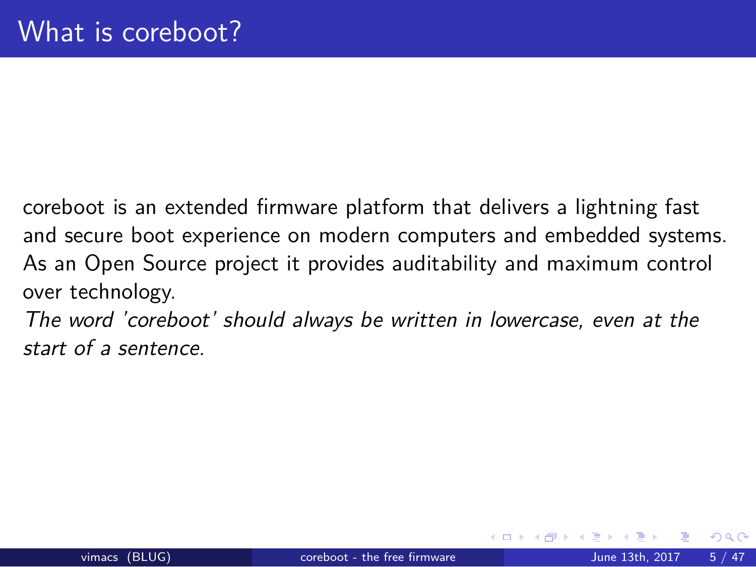## What is coreboot?

coreboot is an extended firmware platform that delivers a lightning fast and secure boot experience on modern computers and embedded systems. As an Open Source project it provides auditability and maximum control over technology.

*The word 'coreboot' should always be written in lowercase, even at the start of a sentence.*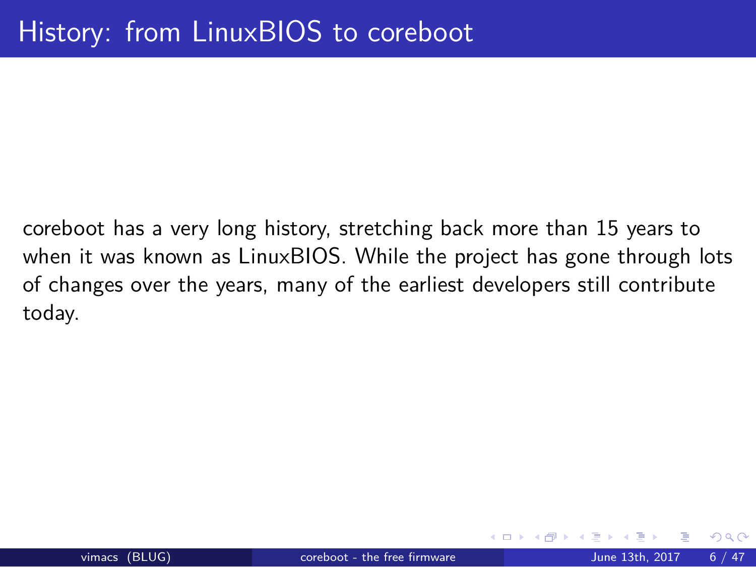# History: from LinuxBIOS to coreboot

coreboot has a very long history, stretching back more than 15 years to when it was known as LinuxBIOS. While the project has gone through lots of changes over the years, many of the earliest developers still contribute today.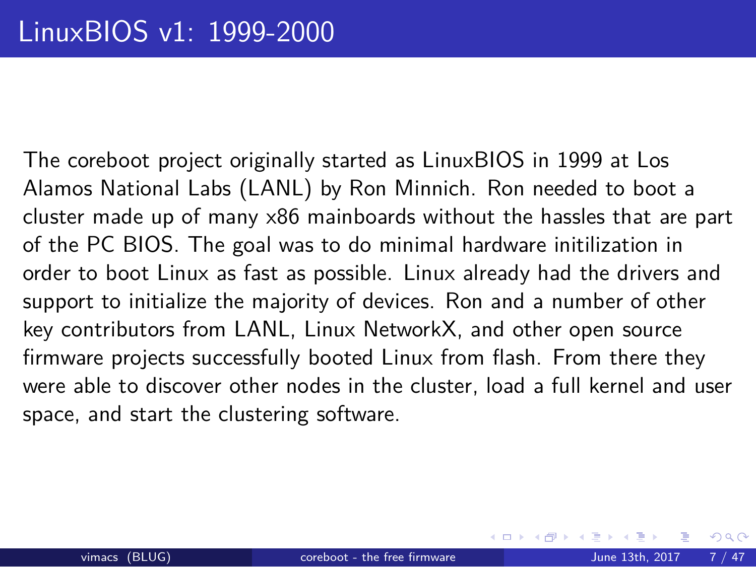### LinuxBIOS v1: 1999-2000

The coreboot project originally started as LinuxBIOS in 1999 at Los Alamos National Labs (LANL) by Ron Minnich. Ron needed to boot a cluster made up of many x86 mainboards without the hassles that are part of the PC BIOS. The goal was to do minimal hardware initilization in order to boot Linux as fast as possible. Linux already had the drivers and support to initialize the majority of devices. Ron and a number of other key contributors from LANL, Linux NetworkX, and other open source firmware projects successfully booted Linux from flash. From there they were able to discover other nodes in the cluster, load a full kernel and user space, and start the clustering software.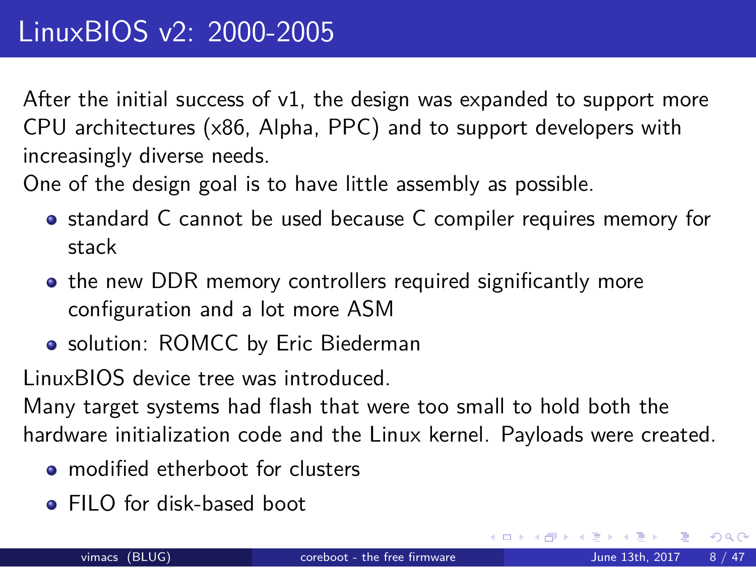### LinuxBIOS v2: 2000-2005

After the initial success of v1, the design was expanded to support more CPU architectures (x86, Alpha, PPC) and to support developers with increasingly diverse needs.

One of the design goal is to have little assembly as possible.

- standard C cannot be used because C compiler requires memory for stack
- the new DDR memory controllers required significantly more configuration and a lot more ASM
- solution: ROMCC by Eric Biederman

LinuxBIOS device tree was introduced.

Many target systems had flash that were too small to hold both the hardware initialization code and the Linux kernel. Payloads were created.

- modified etherboot for clusters
- FILO for disk-based boot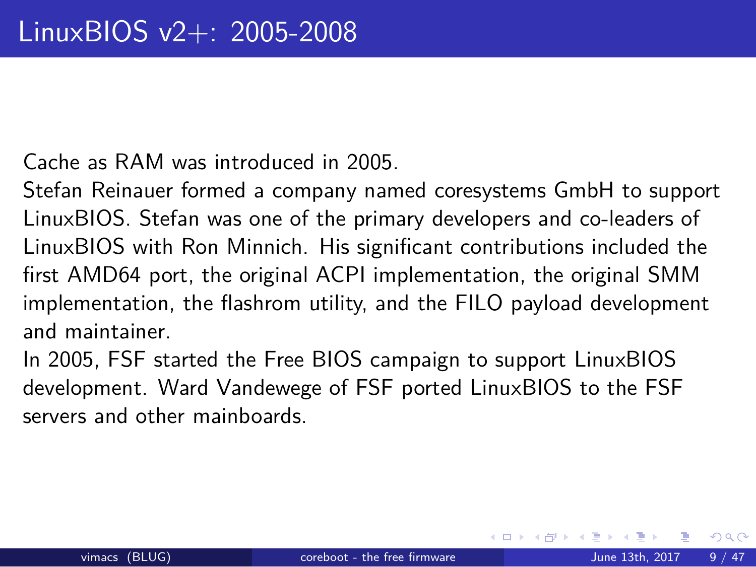### LinuxBIOS v2+: 2005-2008

Cache as RAM was introduced in 2005.

Stefan Reinauer formed a company named coresystems GmbH to support LinuxBIOS. Stefan was one of the primary developers and co-leaders of LinuxBIOS with Ron Minnich. His significant contributions included the first AMD64 port, the original ACPI implementation, the original SMM implementation, the flashrom utility, and the FILO payload development and maintainer.

In 2005, FSF started the Free BIOS campaign to support LinuxBIOS development. Ward Vandewege of FSF ported LinuxBIOS to the FSF servers and other mainboards.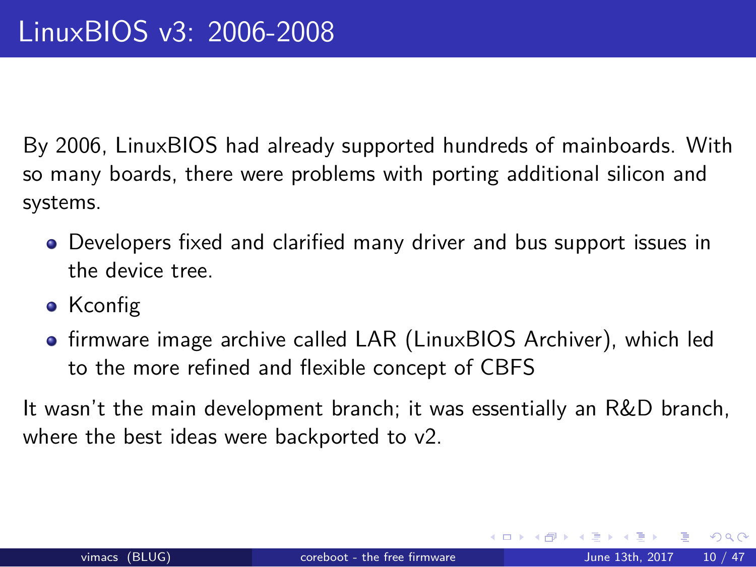### LinuxBIOS v3: 2006-2008

By 2006, LinuxBIOS had already supported hundreds of mainboards. With so many boards, there were problems with porting additional silicon and systems.

- Developers fixed and clarified many driver and bus support issues in the device tree.
- Kconfig
- **•** firmware image archive called LAR (LinuxBIOS Archiver), which led to the more refined and flexible concept of CBFS

It wasn't the main development branch; it was essentially an R&D branch, where the best ideas were backported to v2.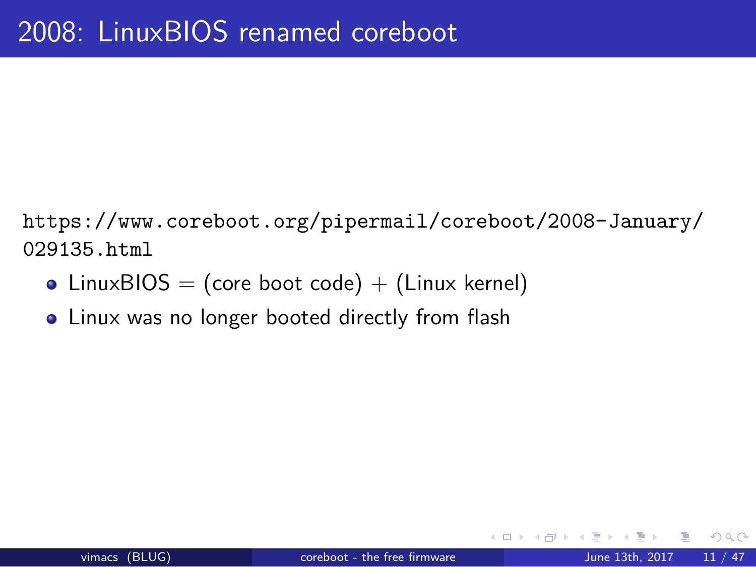# 2008: LinuxBIOS renamed coreboot

https://www.coreboot.org/pipermail/coreboot/2008-January/ 029135.html

- $\bullet$  LinuxBIOS = (core boot code) + (Linux kernel)
- Linux was no longer booted directly from flash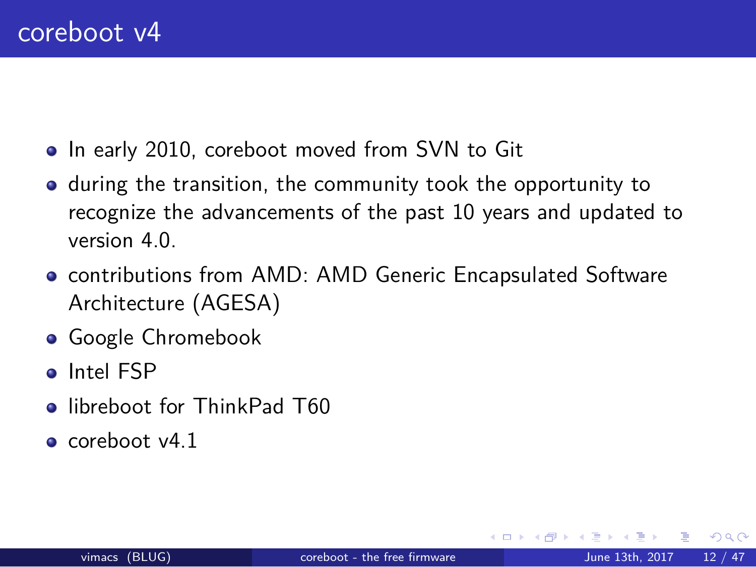#### coreboot v4

- $\bullet$  In early 2010, coreboot moved from SVN to Git
- during the transition, the community took the opportunity to recognize the advancements of the past 10 years and updated to version 4.0.
- contributions from AMD: AMD Generic Encapsulated Software Architecture (AGESA)
- **Google Chromebook**
- Intel FSP
- **·** libreboot for ThinkPad T60
- $\bullet$  coreboot v4.1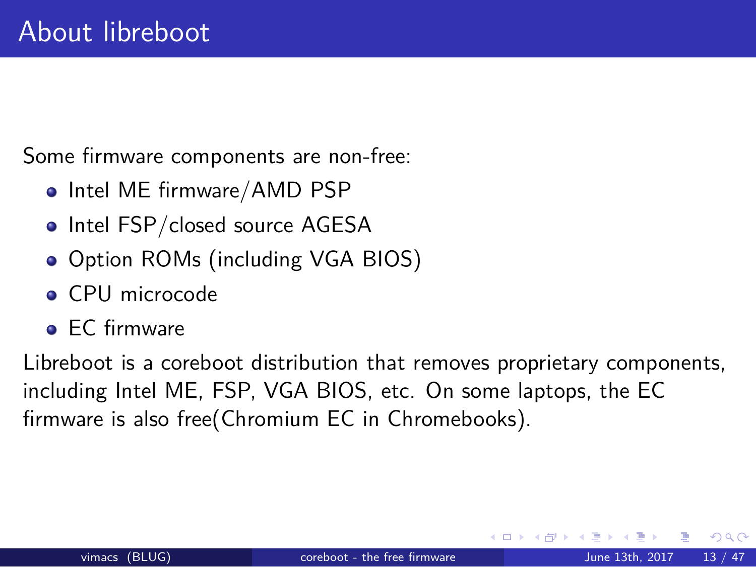### About libreboot

Some firmware components are non-free:

- Intel ME firmware/AMD PSP
- Intel FSP/closed source AGESA
- Option ROMs (including VGA BIOS)
- **o** CPU microcode
- **•** EC firmware

Libreboot is a coreboot distribution that removes proprietary components, including Intel ME, FSP, VGA BIOS, etc. On some laptops, the EC firmware is also free(Chromium EC in Chromebooks).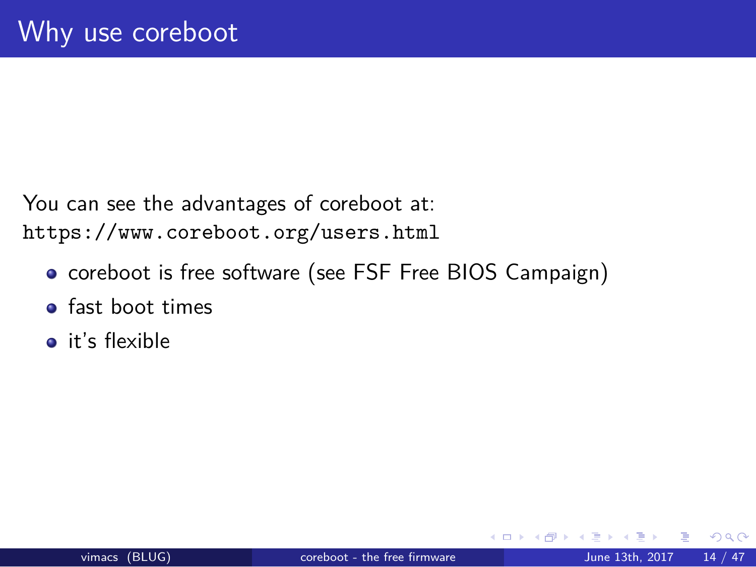# Why use coreboot

You can see the advantages of coreboot at: https://www.coreboot.org/users.html

- coreboot is free software (see FSF Free BIOS Campaign)
- fast boot times
- **o** it's flexible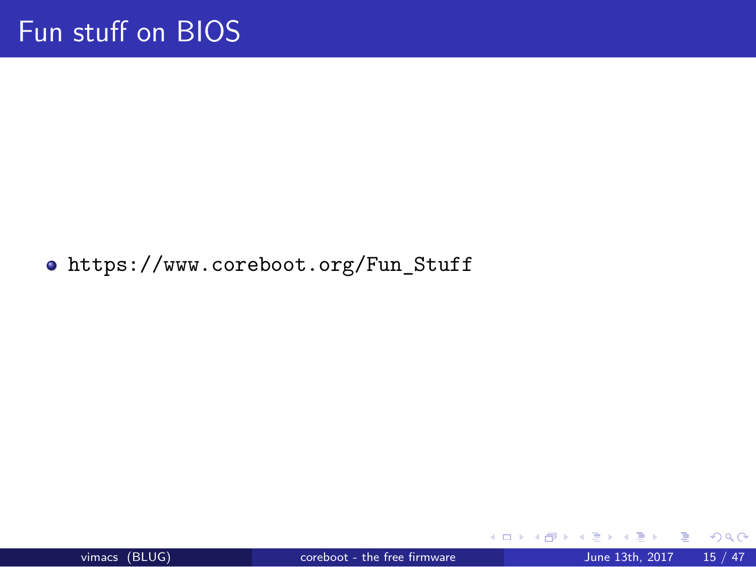Fun stuff on BIOS

https://www.coreboot.org/Fun\_Stuff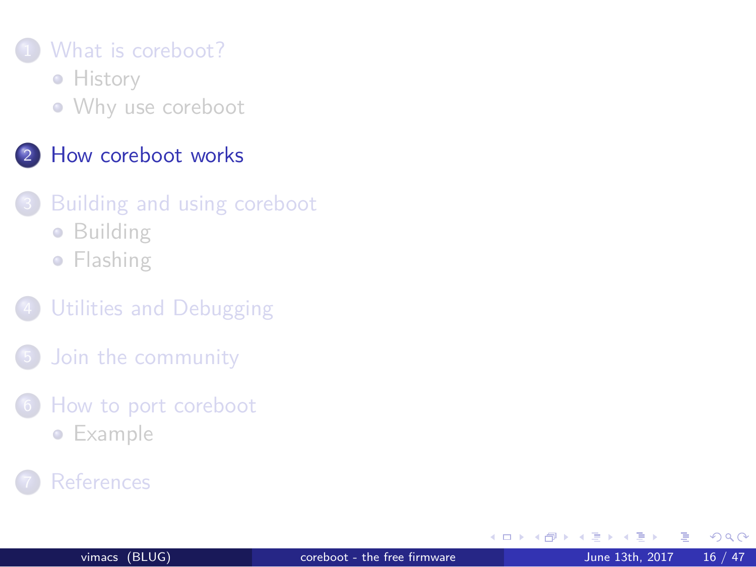#### 1 What is coreboot?

**•** History

Why use coreboot

#### 2 How coreboot works

- 3 Building and using coreboot
	- **•** Building
	- **•** Flashing
- 4 Utilities and Debugging
- 5 Join the community
- 6 How to port coreboot
	- **·** Example
- **7** References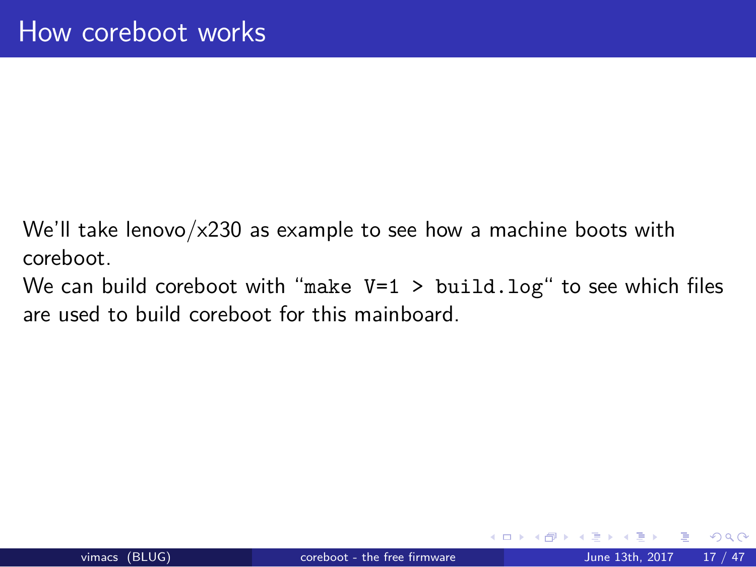# How coreboot works

We'll take lenovo/x230 as example to see how a machine boots with coreboot.

We can build coreboot with "make V=1 > build.log" to see which files are used to build coreboot for this mainboard.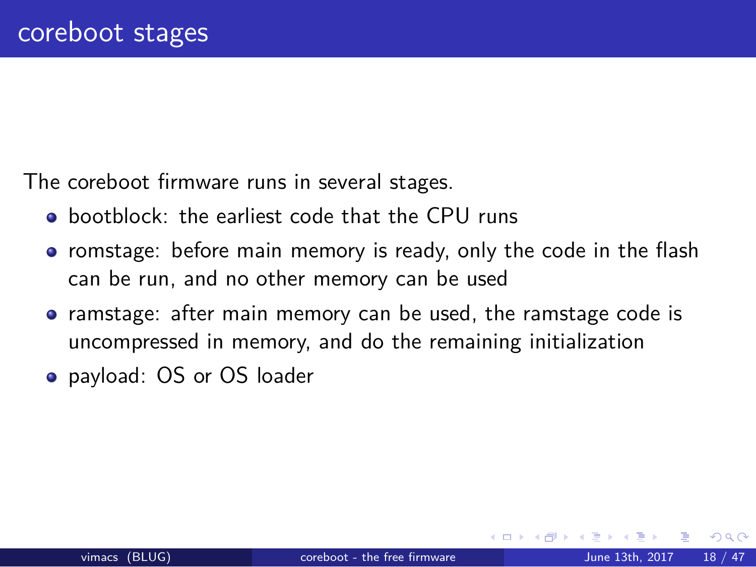#### coreboot stages

The coreboot firmware runs in several stages.

- bootblock: the earliest code that the CPU runs
- romstage: before main memory is ready, only the code in the flash can be run, and no other memory can be used
- ramstage: after main memory can be used, the ramstage code is uncompressed in memory, and do the remaining initialization
- payload: OS or OS loader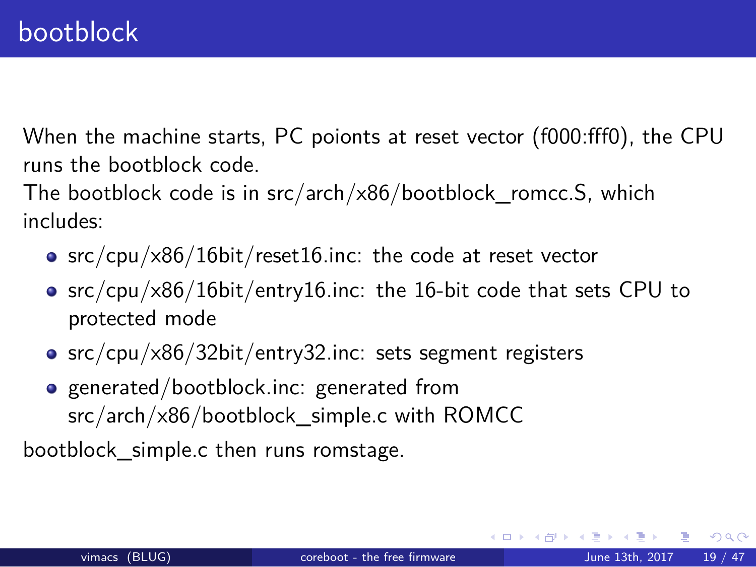#### bootblock

When the machine starts, PC poionts at reset vector (f000:fff0), the CPU runs the bootblock code.

The bootblock code is in src/arch/x86/bootblock\_romcc.S, which includes:

- src/cpu/x86/16bit/reset16.inc: the code at reset vector
- src/cpu/x86/16bit/entry16.inc: the 16-bit code that sets CPU to protected mode
- src/cpu/x86/32bit/entry32.inc: sets segment registers
- generated/bootblock.inc: generated from src/arch/x86/bootblock\_simple.c with ROMCC

bootblock\_simple.c then runs romstage.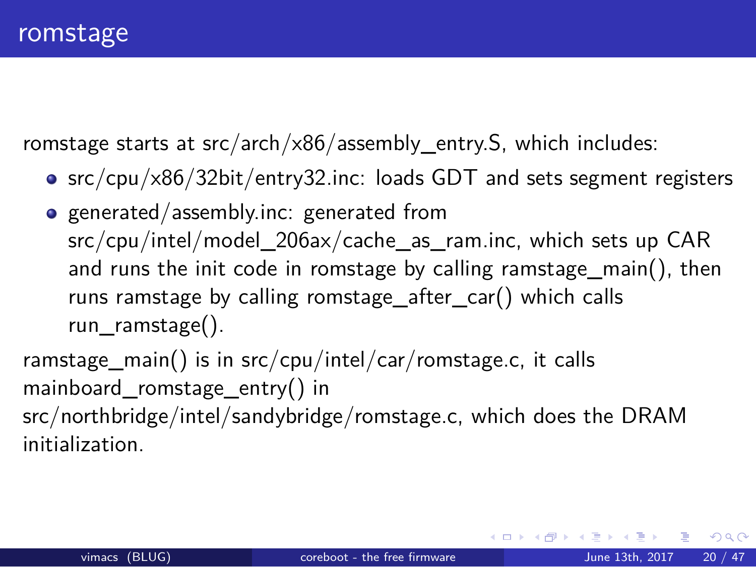#### romstage

romstage starts at src/arch/x86/assembly\_entry.S, which includes:

- src/cpu/x86/32bit/entry32.inc: loads GDT and sets segment registers
- generated/assembly.inc: generated from src/cpu/intel/model\_206ax/cache\_as\_ram.inc, which sets up CAR and runs the init code in romstage by calling ramstage\_main(), then runs ramstage by calling romstage\_after\_car() which calls run\_ramstage().

ramstage\_main() is in src/cpu/intel/car/romstage.c, it calls mainboard\_romstage\_entry() in src/northbridge/intel/sandybridge/romstage.c, which does the DRAM

initialization.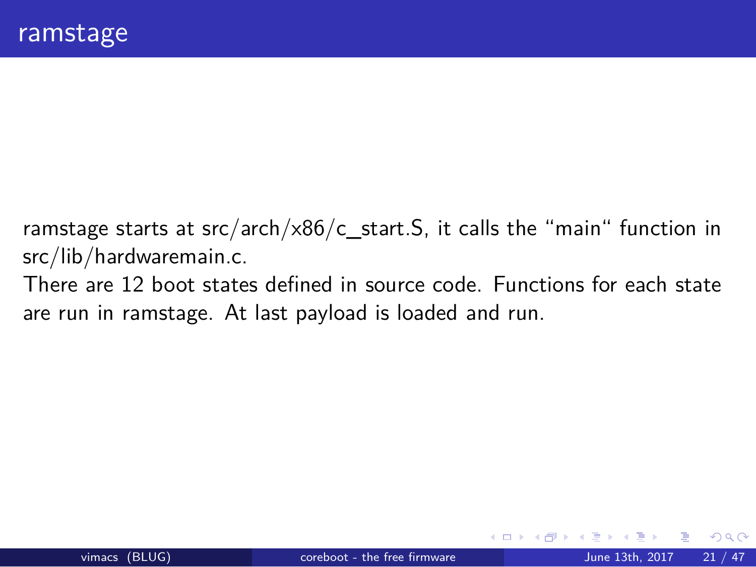#### ramstage

ramstage starts at src/arch/x86/c\_start.S, it calls the "main" function in src/lib/hardwaremain.c.

There are 12 boot states defined in source code. Functions for each state are run in ramstage. At last payload is loaded and run.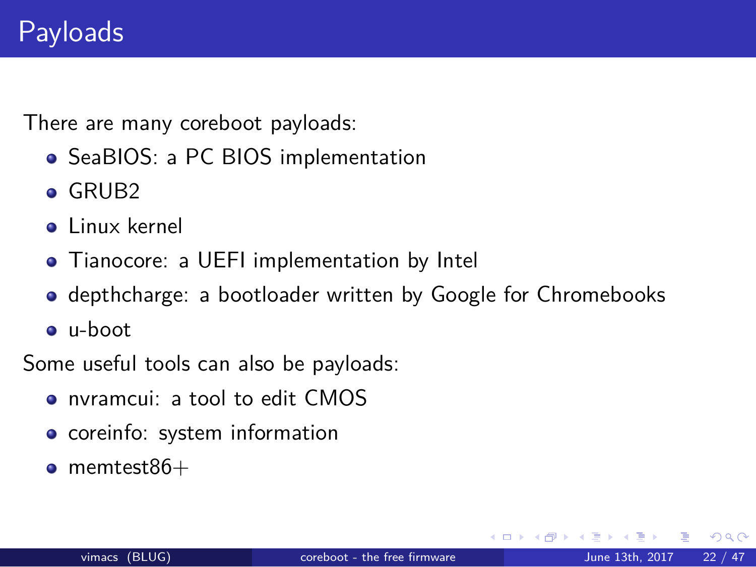## Payloads

There are many coreboot payloads:

- SeaBIOS: a PC BIOS implementation
- o GRUB2
- **·** Linux kernel
- Tianocore: a UEFI implementation by Intel
- depthcharge: a bootloader written by Google for Chromebooks
- u-boot

Some useful tools can also be payloads:

- nvramcui: a tool to edit CMOS
- **·** coreinfo: system information
- $\bullet$  memtest $86+$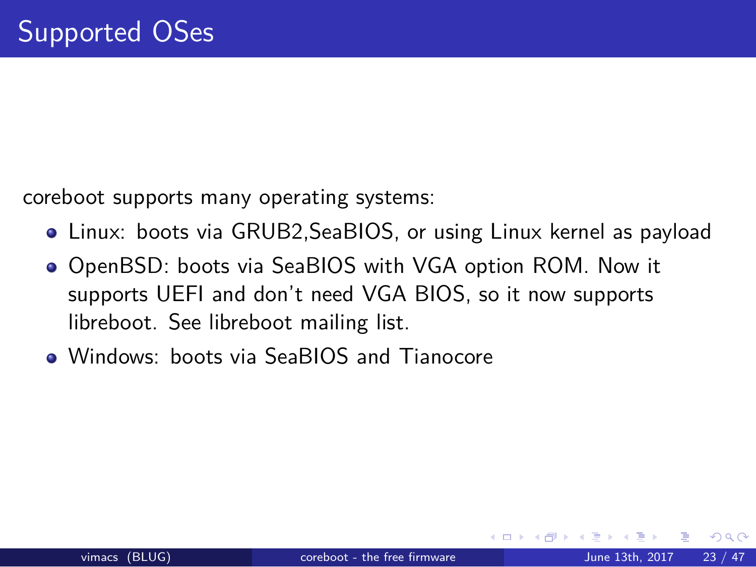## Supported OSes

coreboot supports many operating systems:

- Linux: boots via GRUB2,SeaBIOS, or using Linux kernel as payload
- OpenBSD: boots via SeaBIOS with VGA option ROM. Now it supports UEFI and don't need VGA BIOS, so it now supports libreboot. See libreboot mailing list.
- Windows: boots via SeaBIOS and Tianocore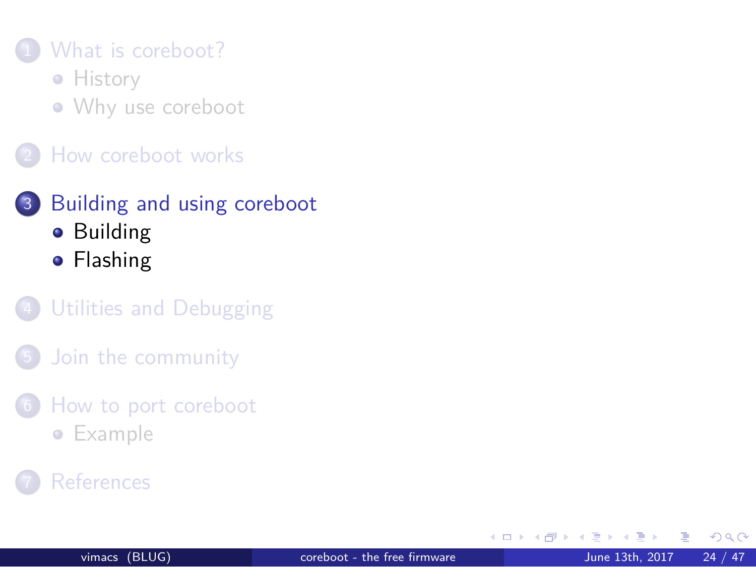1 What is coreboot?

**•** History

Why use coreboot

2 How coreboot works

3 Building and using coreboot

**•** Building

**•** Flashing

4 Utilities and Debugging

5 Join the community

6 How to port coreboot

**•** Example

7 References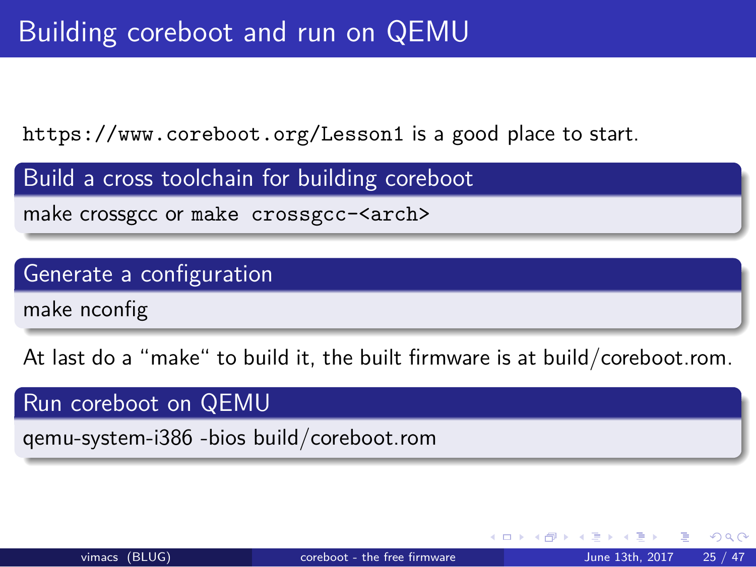## Building coreboot and run on QEMU

https://www.coreboot.org/Lesson1 is a good place to start.

Build a cross toolchain for building coreboot make crossgcc or make crossgcc-<arch>

Generate a configuration

make nconfig

At last do a "make" to build it, the built firmware is at build/coreboot.rom.

Run coreboot on QEMU qemu-system-i386 -bios build/coreboot.rom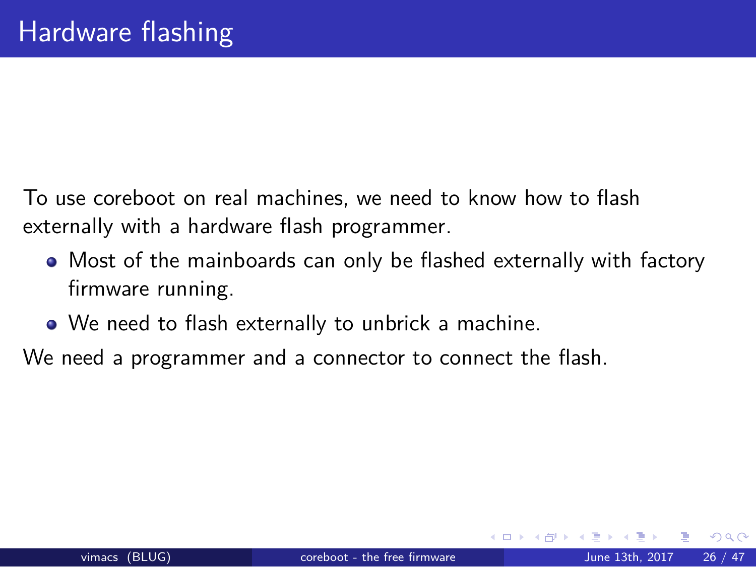## Hardware flashing

To use coreboot on real machines, we need to know how to flash externally with a hardware flash programmer.

- Most of the mainboards can only be flashed externally with factory firmware running.
- We need to flash externally to unbrick a machine.

We need a programmer and a connector to connect the flash.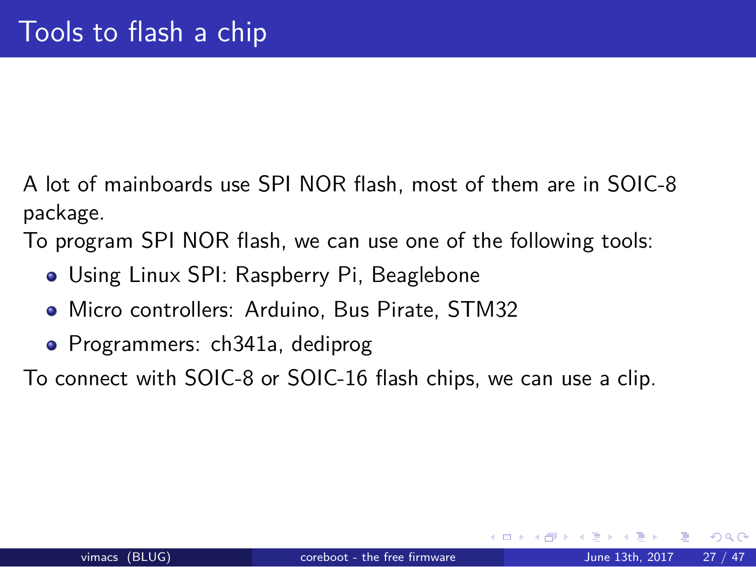## Tools to flash a chip

A lot of mainboards use SPI NOR flash, most of them are in SOIC-8 package.

To program SPI NOR flash, we can use one of the following tools:

- Using Linux SPI: Raspberry Pi, Beaglebone
- Micro controllers: Arduino, Bus Pirate, STM32
- Programmers: ch341a, dediprog

To connect with SOIC-8 or SOIC-16 flash chips, we can use a clip.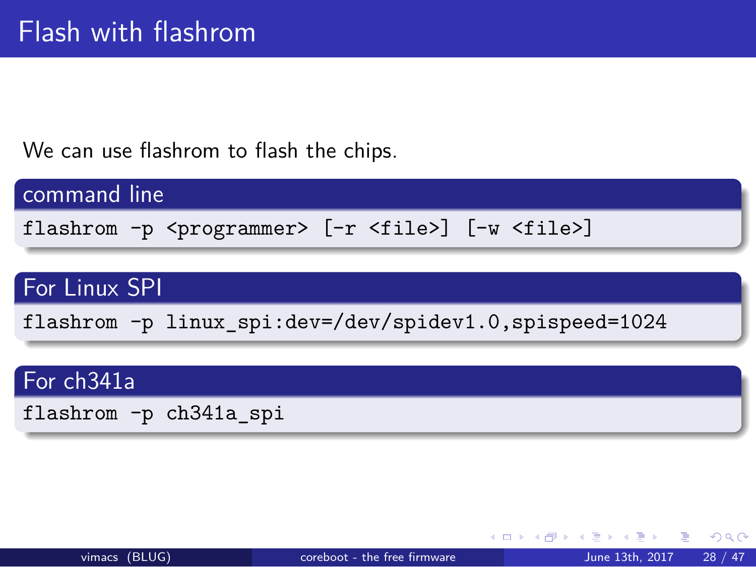



flashrom -p linux\_spi:dev=/dev/spidev1.0,spispeed=1024

flashrom -p <programmer> [-r <file>] [-w <file>]

We can use flashrom to flash the chips.

Flash with flashrom

command line

For Linux SPI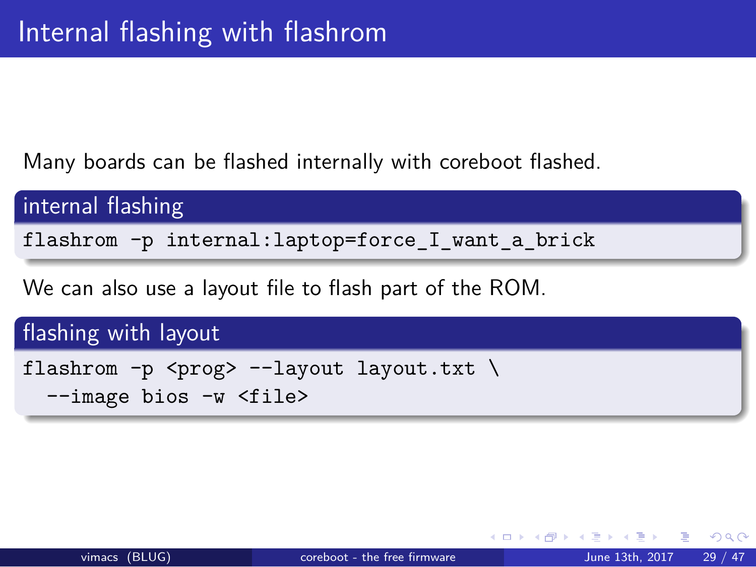## Internal flashing with flashrom

Many boards can be flashed internally with coreboot flashed.

## internal flashing

flashrom -p internal:laptop=force\_I\_want\_a\_brick

We can also use a layout file to flash part of the ROM.

#### flashing with layout

```
flashrom -p <prog> --layout layout.txt \
--image bios -w <file>
```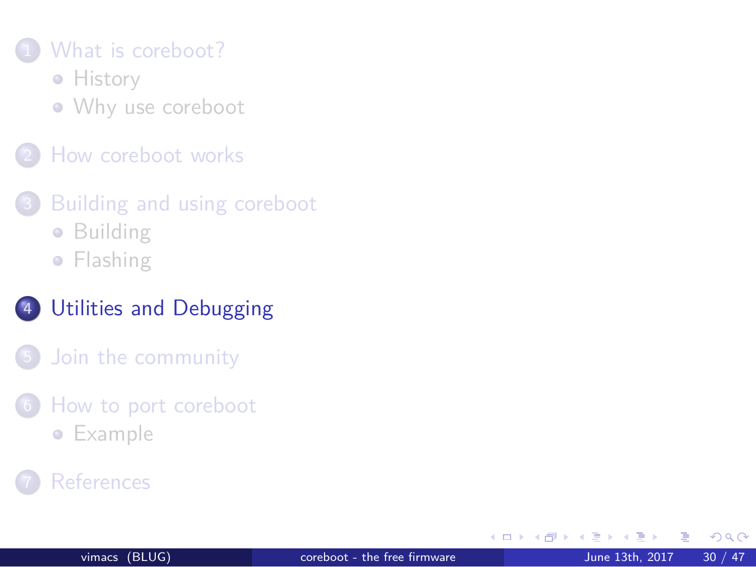#### 1 What is coreboot?

**•** History

Why use coreboot

2 How coreboot works

3 Building and using coreboot

- **•** Building
- **•** Flashing

#### 4 Utilities and Debugging

5 Join the community

6 How to port coreboot

- **·** Example
- **7** References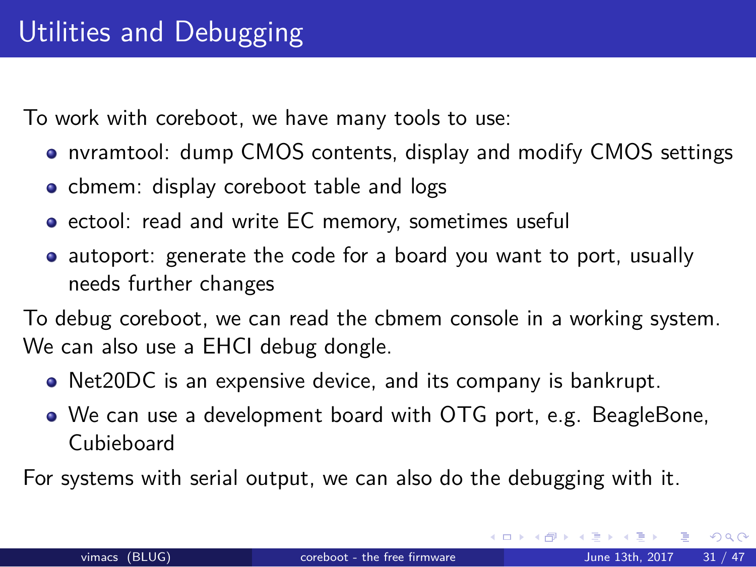## Utilities and Debugging

To work with coreboot, we have many tools to use:

- nvramtool: dump CMOS contents, display and modify CMOS settings
- cbmem: display coreboot table and logs
- ectool: read and write EC memory, sometimes useful
- autoport: generate the code for a board you want to port, usually needs further changes

To debug coreboot, we can read the cbmem console in a working system. We can also use a EHCI debug dongle.

- Net20DC is an expensive device, and its company is bankrupt.
- We can use a development board with OTG port, e.g. BeagleBone, Cubieboard

For systems with serial output, we can also do the debugging with it.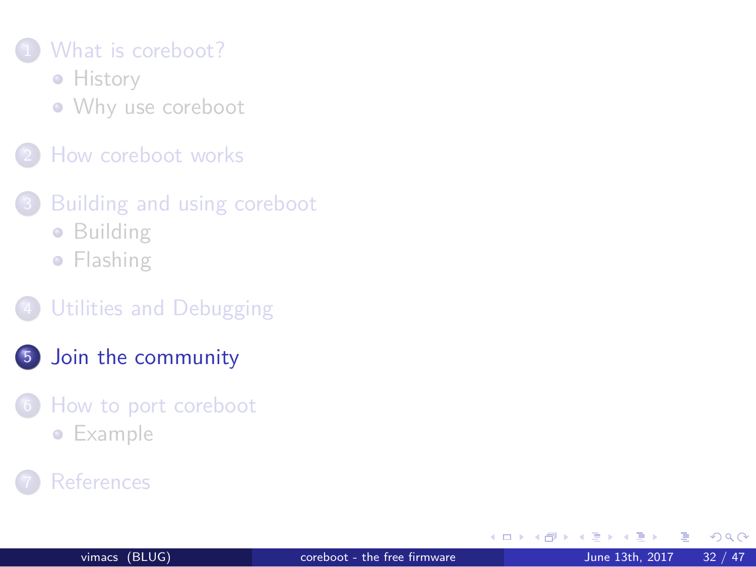#### 1 What is coreboot?

**•** History

Why use coreboot

2 How coreboot works

3 Building and using coreboot

**•** Building

**•** Flashing

4 Utilities and Debugging

#### 5 Join the community

6 How to port coreboot

**·** Example

**7** References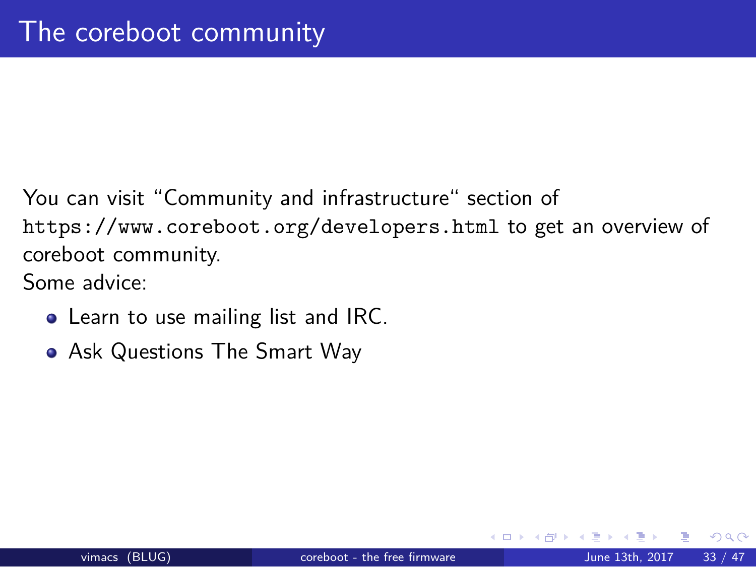## The coreboot community

You can visit "Community and infrastructure" section of https://www.coreboot.org/developers.html to get an overview of coreboot community. Some advice:

- Learn to use mailing list and IRC.
- Ask Questions The Smart Way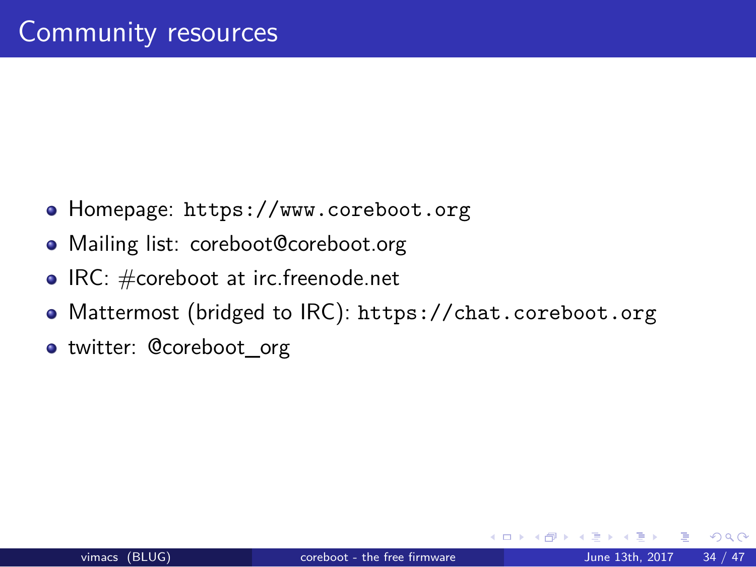## Community resources

- Homepage: https://www.coreboot.org
- Mailing list: coreboot@coreboot.org
- $\bullet$  IRC:  $\#$ coreboot at irc.freenode.net
- Mattermost (bridged to IRC): https://chat.coreboot.org
- twitter: @coreboot\_org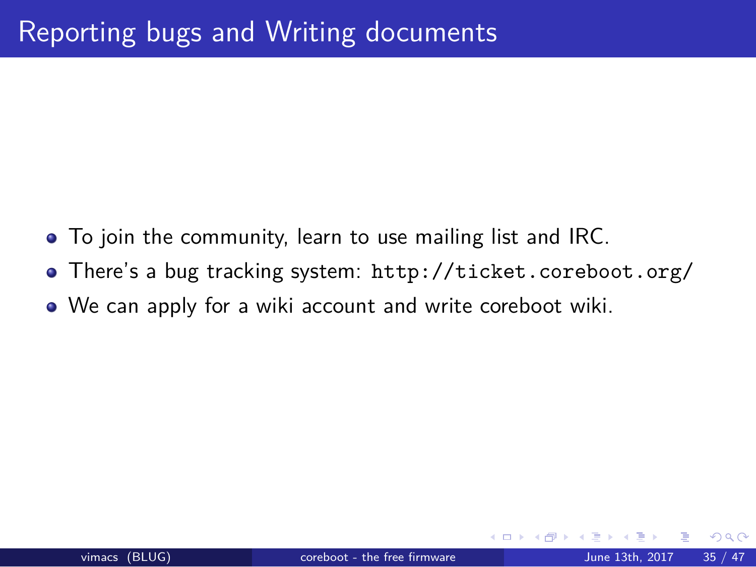# Reporting bugs and Writing documents

- To join the community, learn to use mailing list and IRC.
- There's a bug tracking system: http://ticket.coreboot.org/
- We can apply for a wiki account and write coreboot wiki.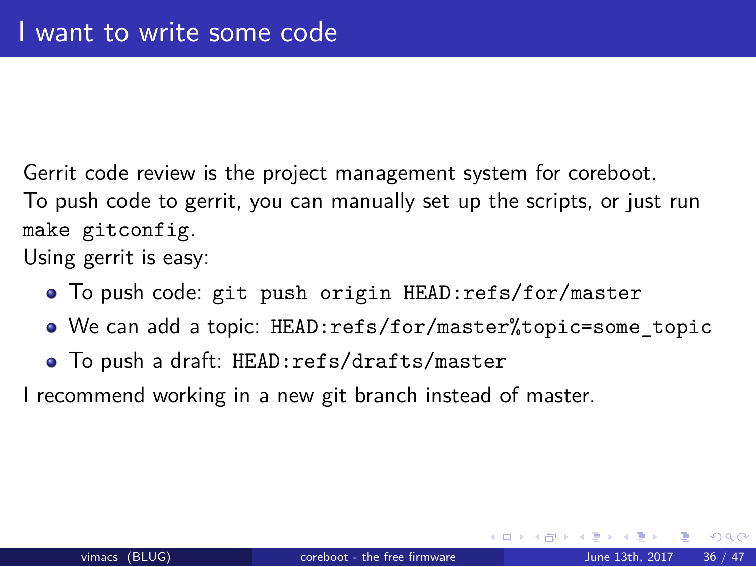### I want to write some code

Gerrit code review is the project management system for coreboot. To push code to gerrit, you can manually set up the scripts, or just run make gitconfig.

Using gerrit is easy:

- To push code: git push origin HEAD:refs/for/master
- We can add a topic: HEAD:refs/for/master%topic=some\_topic
- To push a draft: HEAD:refs/drafts/master

I recommend working in a new git branch instead of master.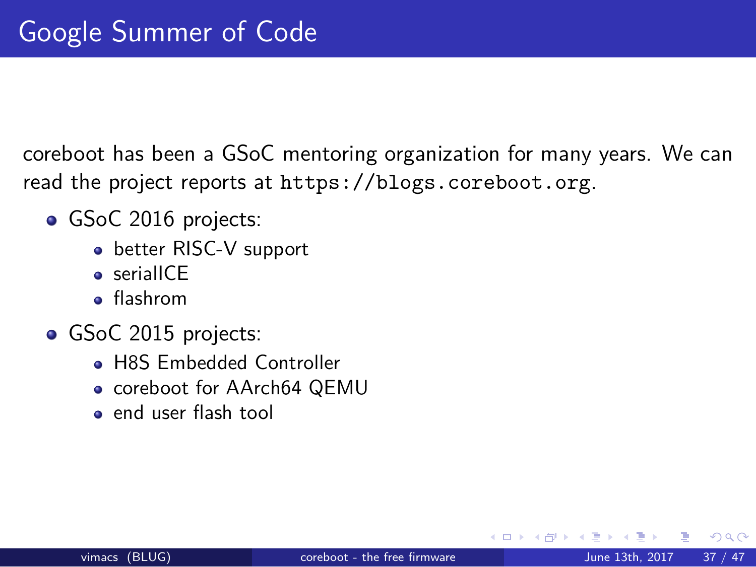## Google Summer of Code

coreboot has been a GSoC mentoring organization for many years. We can read the project reports at https://blogs.coreboot.org.

- GSoC 2016 projects:
	- better RISC-V support
	- **•** serialICE
	- flashrom
- **GSoC 2015 projects:** 
	- H8S Embedded Controller
	- **.** coreboot for AArch64 QEMU
	- end user flash tool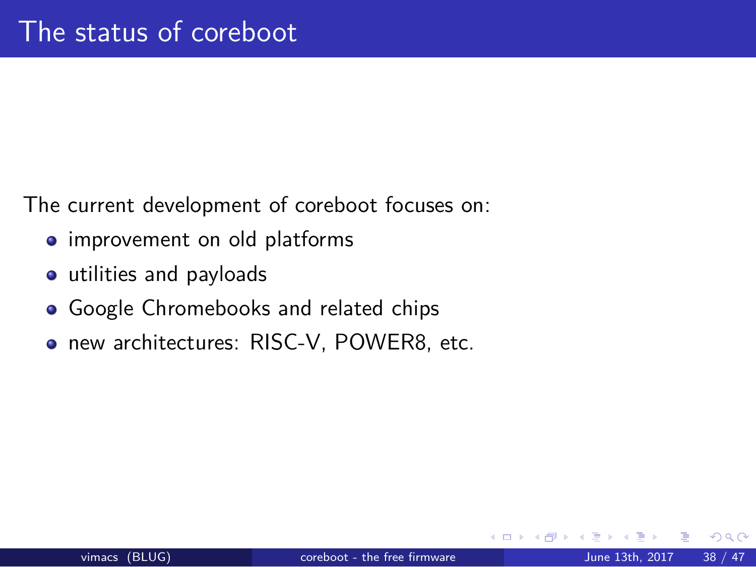# The status of coreboot

The current development of coreboot focuses on:

- **·** improvement on old platforms
- utilities and payloads
- Google Chromebooks and related chips
- new architectures: RISC-V, POWER8, etc.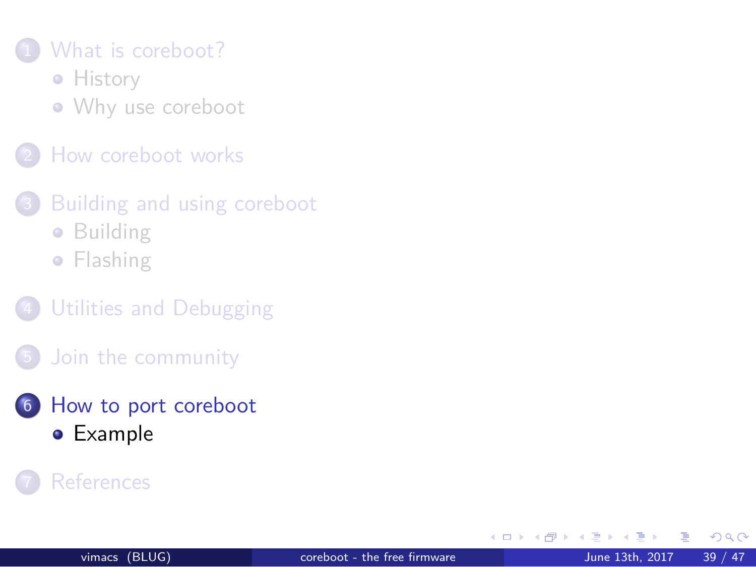#### 1 What is coreboot?

**•** History

Why use coreboot

2 How coreboot works

3 Building and using coreboot

**•** Building

**•** Flashing

4 Utilities and Debugging

5 Join the community

6 How to port coreboot

Example

7 References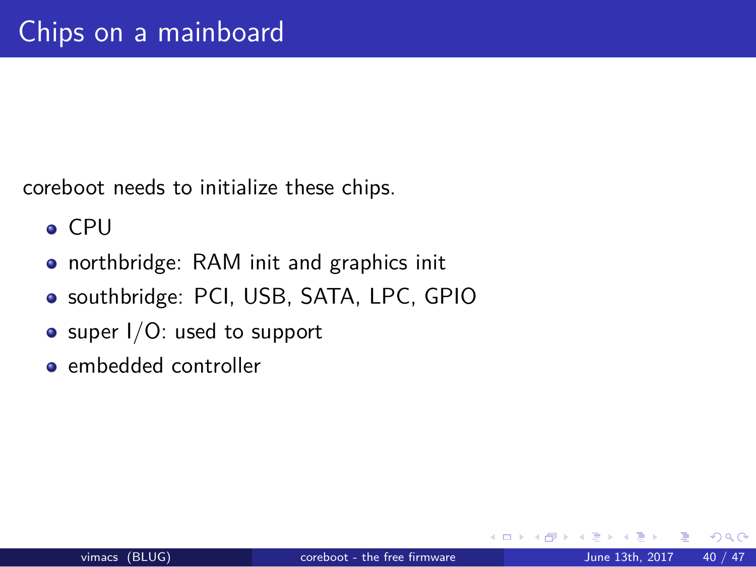# Chips on a mainboard

coreboot needs to initialize these chips.

- CPU
- northbridge: RAM init and graphics init
- southbridge: PCI, USB, SATA, LPC, GPIO
- super I/O: used to support
- embedded controller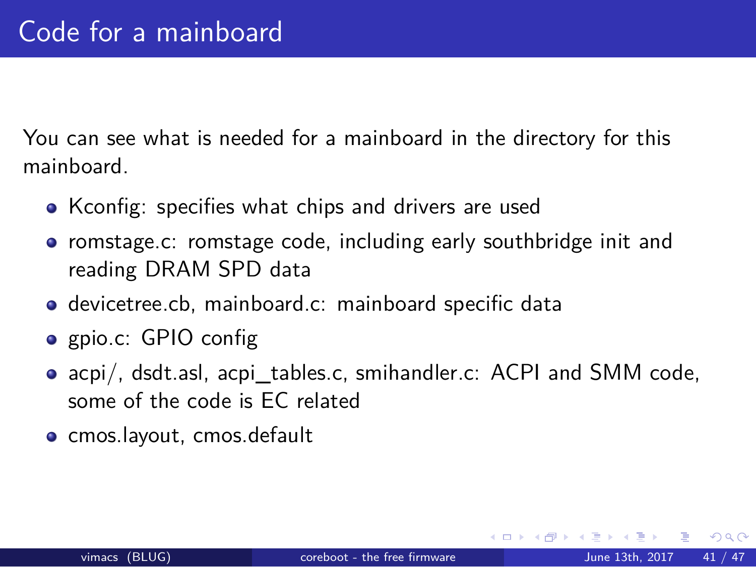## Code for a mainboard

You can see what is needed for a mainboard in the directory for this mainboard.

- Kconfig: specifies what chips and drivers are used
- romstage.c: romstage code, including early southbridge init and reading DRAM SPD data
- devicetree.cb, mainboard.c: mainboard specific data
- gpio.c: GPIO config
- acpi/, dsdt.asl, acpi\_tables.c, smihandler.c: ACPI and SMM code, some of the code is EC related
- · cmos.layout, cmos.default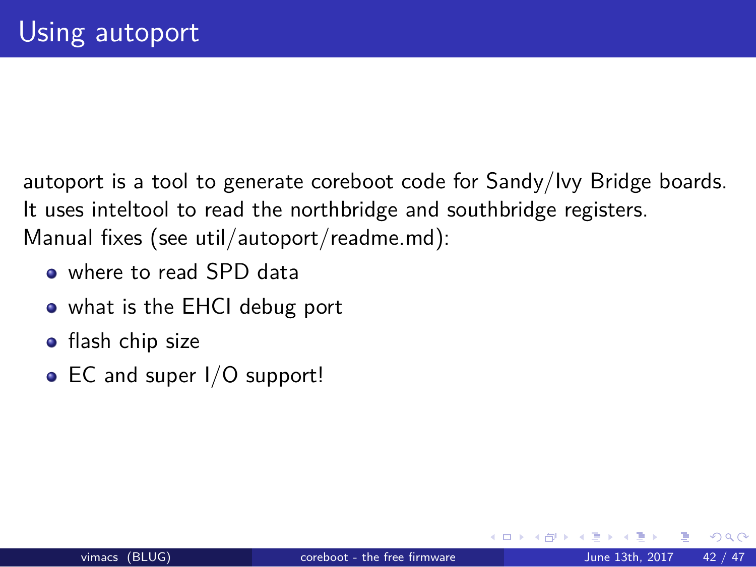## Using autoport

autoport is a tool to generate coreboot code for Sandy/Ivy Bridge boards. It uses inteltool to read the northbridge and southbridge registers. Manual fixes (see util/autoport/readme.md):

- where to read SPD data
- what is the EHCI debug port
- **·** flash chip size
- EC and super I/O support!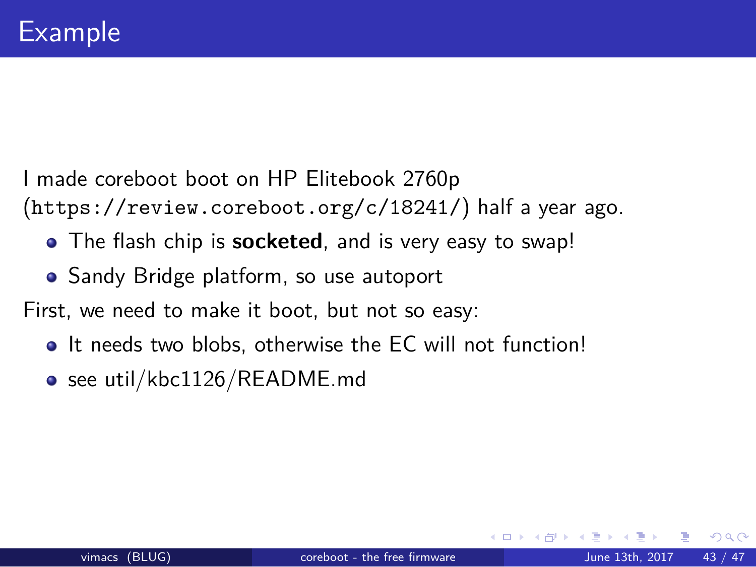## Example

I made coreboot boot on HP Elitebook 2760p (https://review.coreboot.org/c/18241/) half a year ago.

- The flash chip is **socketed**, and is very easy to swap!
- Sandy Bridge platform, so use autoport

First, we need to make it boot, but not so easy:

- $\bullet$  It needs two blobs, otherwise the EC will not function!
- see util/kbc1126/README.md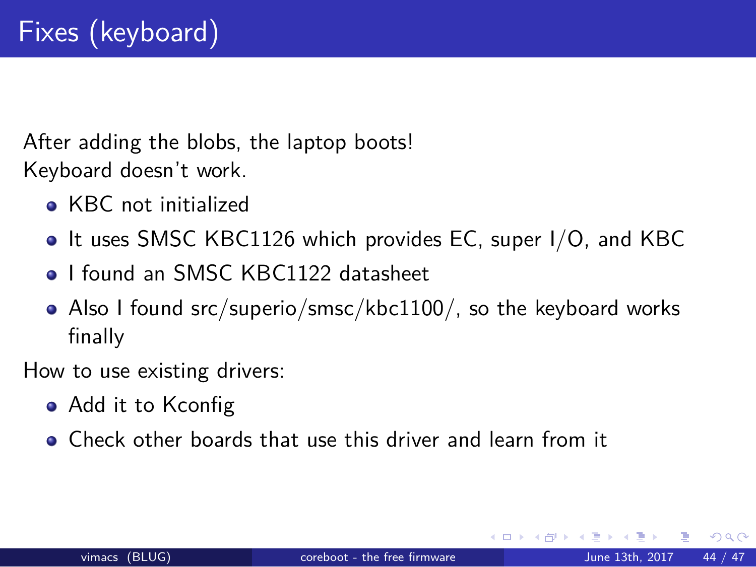# Fixes (keyboard)

After adding the blobs, the laptop boots! Keyboard doesn't work.

- KBC not initialized
- It uses SMSC KBC1126 which provides EC, super I/O, and KBC
- **.** I found an SMSC KBC1122 datasheet
- Also I found src/superio/smsc/kbc1100/, so the keyboard works finally

How to use existing drivers:

- Add it to Kconfig
- Check other boards that use this driver and learn from it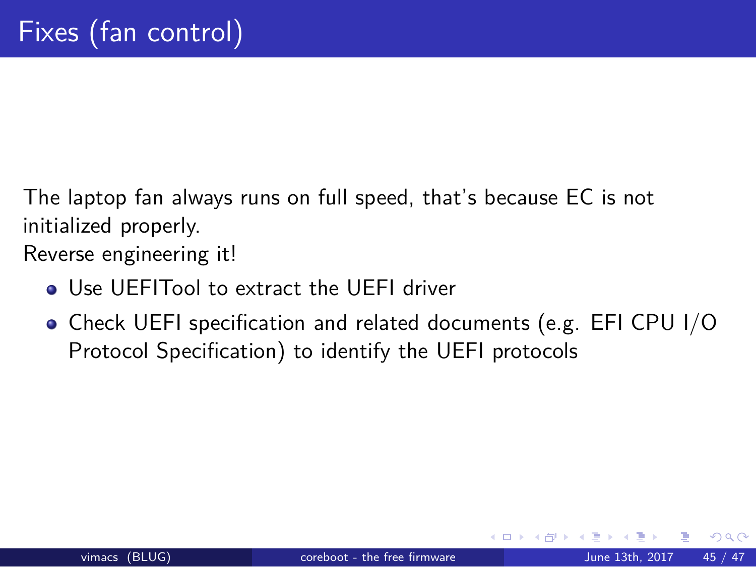# Fixes (fan control)

The laptop fan always runs on full speed, that's because EC is not initialized properly.

Reverse engineering it!

- Use UEFITool to extract the UEFI driver
- Check UEFI specification and related documents (e.g. EFI CPU I/O Protocol Specification) to identify the UEFI protocols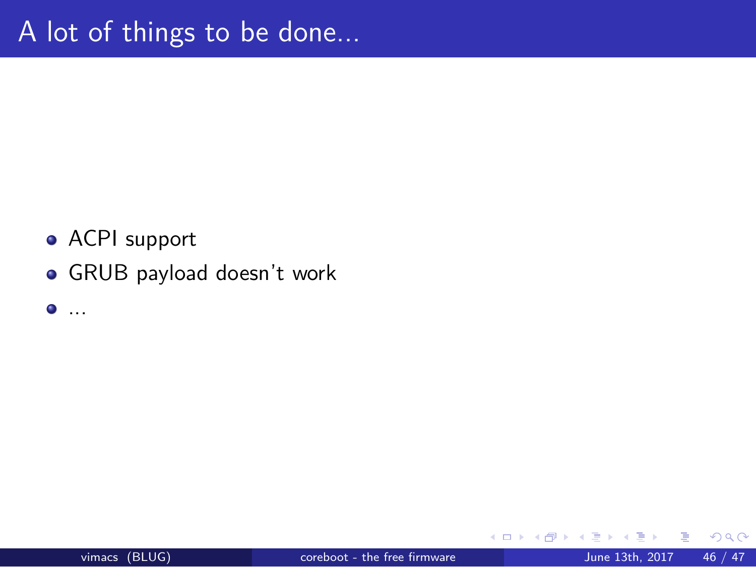# A lot of things to be done...

- ACPI support
- GRUB payload doesn't work
- $\bullet$  ...